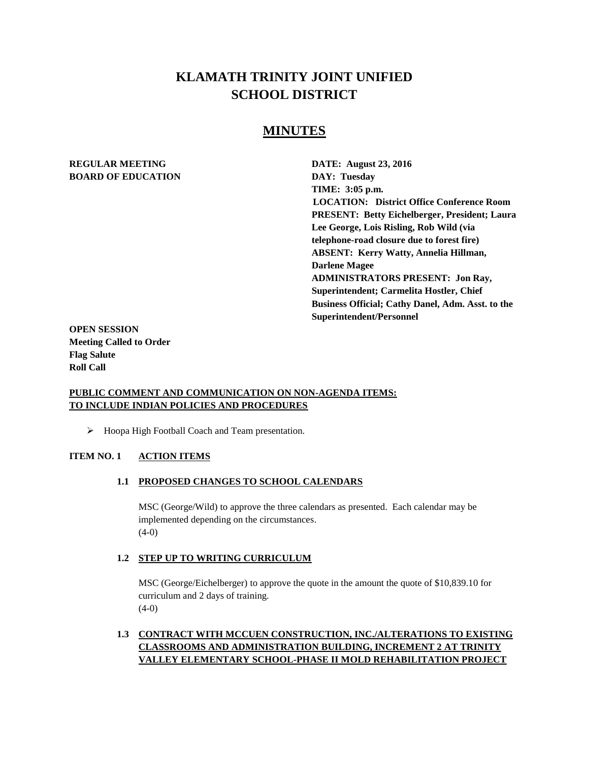# **KLAMATH TRINITY JOINT UNIFIED SCHOOL DISTRICT**

## **MINUTES**

## **REGULAR MEETING DATE: August 23, 2016 BOARD OF EDUCATION DAY: Tuesday**

**TIME: 3:05 p.m. LOCATION: District Office Conference Room PRESENT: Betty Eichelberger, President; Laura Lee George, Lois Risling, Rob Wild (via telephone-road closure due to forest fire) ABSENT: Kerry Watty, Annelia Hillman, Darlene Magee ADMINISTRATORS PRESENT: Jon Ray, Superintendent; Carmelita Hostler, Chief Business Official; Cathy Danel, Adm. Asst. to the Superintendent/Personnel** 

**OPEN SESSION Meeting Called to Order Flag Salute Roll Call**

## **PUBLIC COMMENT AND COMMUNICATION ON NON-AGENDA ITEMS: TO INCLUDE INDIAN POLICIES AND PROCEDURES**

 $\triangleright$  Hoopa High Football Coach and Team presentation.

#### **ITEM NO. 1 ACTION ITEMS**

#### **1.1 PROPOSED CHANGES TO SCHOOL CALENDARS**

MSC (George/Wild) to approve the three calendars as presented. Each calendar may be implemented depending on the circumstances.  $(4-0)$ 

#### **1.2 STEP UP TO WRITING CURRICULUM**

MSC (George/Eichelberger) to approve the quote in the amount the quote of \$10,839.10 for curriculum and 2 days of training.  $(4-0)$ 

## **1.3 CONTRACT WITH MCCUEN CONSTRUCTION, INC./ALTERATIONS TO EXISTING CLASSROOMS AND ADMINISTRATION BUILDING, INCREMENT 2 AT TRINITY VALLEY ELEMENTARY SCHOOL-PHASE II MOLD REHABILITATION PROJECT**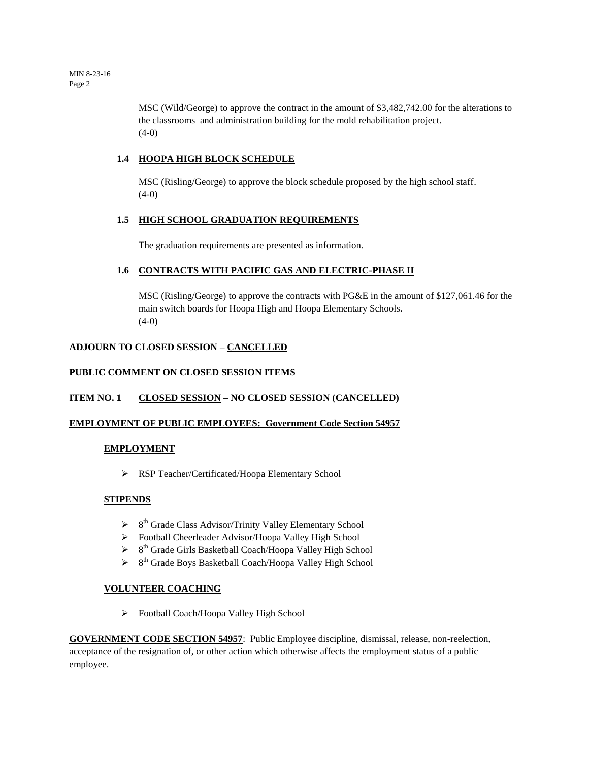MSC (Wild/George) to approve the contract in the amount of \$3,482,742.00 for the alterations to the classrooms and administration building for the mold rehabilitation project.  $(4-0)$ 

### **1.4 HOOPA HIGH BLOCK SCHEDULE**

MSC (Risling/George) to approve the block schedule proposed by the high school staff.  $(4-0)$ 

#### **1.5 HIGH SCHOOL GRADUATION REQUIREMENTS**

The graduation requirements are presented as information.

#### **1.6 CONTRACTS WITH PACIFIC GAS AND ELECTRIC-PHASE II**

MSC (Risling/George) to approve the contracts with PG&E in the amount of \$127,061.46 for the main switch boards for Hoopa High and Hoopa Elementary Schools.  $(4-0)$ 

#### **ADJOURN TO CLOSED SESSION – CANCELLED**

#### **PUBLIC COMMENT ON CLOSED SESSION ITEMS**

#### **ITEM NO. 1 CLOSED SESSION – NO CLOSED SESSION (CANCELLED)**

#### **EMPLOYMENT OF PUBLIC EMPLOYEES: Government Code Section 54957**

#### **EMPLOYMENT**

RSP Teacher/Certificated/Hoopa Elementary School

#### **STIPENDS**

- $\triangleright$  8<sup>th</sup> Grade Class Advisor/Trinity Valley Elementary School
- Football Cheerleader Advisor/Hoopa Valley High School
- <sup>></sup> 8<sup>th</sup> Grade Girls Basketball Coach/Hoopa Valley High School
- <sup>></sup> 8<sup>th</sup> Grade Boys Basketball Coach/Hoopa Valley High School

#### **VOLUNTEER COACHING**

Football Coach/Hoopa Valley High School

**GOVERNMENT CODE SECTION 54957**: Public Employee discipline, dismissal, release, non-reelection, acceptance of the resignation of, or other action which otherwise affects the employment status of a public employee.